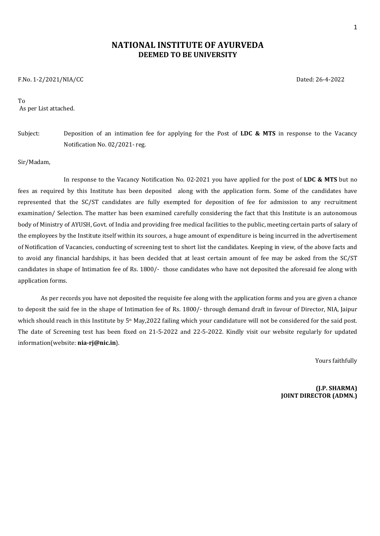# **NATIONAL INSTITUTE OF AYURVEDA DEEMED TO BE UNIVERSITY**

F.No. 1-2/2021/NIA/CC Dated: 26-4-2022

To As per List attached.

# Subject: Deposition of an intimation fee for applying for the Post of **LDC & MTS** in response to the Vacancy Notification No. 02/2021- reg.

#### Sir/Madam,

In response to the Vacancy Notification No. 02-2021 you have applied for the post of **LDC & MTS** but no fees as required by this Institute has been deposited along with the application form. Some of the candidates have represented that the SC/ST candidates are fully exempted for deposition of fee for admission to any recruitment examination/ Selection. The matter has been examined carefully considering the fact that this Institute is an autonomous body of Ministry of AYUSH, Govt. of India and providing free medical facilities to the public, meeting certain parts of salary of the employees by the Institute itself within its sources, a huge amount of expenditure is being incurred in the advertisement of Notification of Vacancies, conducting of screening test to short list the candidates. Keeping in view, of the above facts and to avoid any financial hardships, it has been decided that at least certain amount of fee may be asked from the SC/ST candidates in shape of Intimation fee of Rs. 1800/- those candidates who have not deposited the aforesaid fee along with application forms.

As per records you have not deposited the requisite fee along with the application forms and you are given a chance to deposit the said fee in the shape of Intimation fee of Rs. 1800/- through demand draft in favour of Director, NIA, Jaipur which should reach in this Institute by 5<sup>th</sup> May,2022 failing which your candidature will not be considered for the said post. The date of Screening test has been fixed on 21-5-2022 and 22-5-2022. Kindly visit our website regularly for updated information(website: **nia-rj@nic.in**).

Yours faithfully

**(J.P. SHARMA) JOINT DIRECTOR (ADMN.)**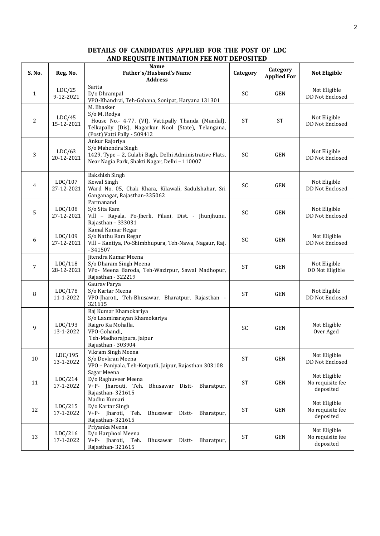### **DETAILS OF CANDIDATES APPLIED FOR THE POST OF LDC AND REQUSITE INTIMATION FEE NOT DEPOSITED**

| S. No.         | Reg. No.              | <b>Name</b><br>Father's/Husband's Name<br><b>Address</b>                                                                                                               | Category    | Category<br><b>Applied For</b> | <b>Not Eligible</b>                           |
|----------------|-----------------------|------------------------------------------------------------------------------------------------------------------------------------------------------------------------|-------------|--------------------------------|-----------------------------------------------|
| 1              | LDC/25<br>9-12-2021   | Sarita<br>D/o Dhrampal<br>VPO-Khandrai, Teh-Gohana, Sonipat, Haryana 131301                                                                                            | SC          | GEN                            | Not Eligible<br>DD Not Enclosed               |
| $\overline{c}$ | LDC/45<br>15-12-2021  | M. Bhasker<br>S/o M. Redya<br>House No.- 4-77, (VI), Vattipally Thanda (Mandal),<br>Telkapally (Dis), Nagarkur Nool (State), Telangana,<br>(Post) Vatti Pally - 509412 | <b>ST</b>   | <b>ST</b>                      | Not Eligible<br>DD Not Enclosed               |
| 3              | LDC/63<br>20-12-2021  | Ankur Rajoriya<br>S/o Mahendra Singh<br>1429, Type - 2, Gulabi Bagh, Delhi Administrative Flats,<br>Near Nagia Park, Shakti Nagar, Delhi - 110007                      | SC          | GEN                            | Not Eligible<br>DD Not Enclosed               |
| 4              | LDC/107<br>27-12-2021 | <b>Bakshish Singh</b><br>Kewal Singh<br>Ward No. 05, Chak Khara, Kilawali, Sadulshahar, Sri<br>Ganganagar, Rajasthan-335062                                            | SC          | <b>GEN</b>                     | Not Eligible<br>DD Not Enclosed               |
| 5              | LDC/108<br>27-12-2021 | Parmanand<br>S/o Sita Ram<br>Vill - Rayala, Po-Jherli, Pilani, Dist. - Jhunjhunu,<br>Rajasthan - 333031                                                                | SC          | GEN                            | Not Eligible<br>DD Not Enclosed               |
| 6              | LDC/109<br>27-12-2021 | Kamal Kumar Regar<br>S/o Nathu Ram Regar<br>Vill - Kantiya, Po-Shimbhupura, Teh-Nawa, Nagaur, Raj.<br>$-341507$                                                        | SC          | GEN                            | Not Eligible<br>DD Not Enclosed               |
| 7              | LDC/118<br>28-12-2021 | Jitendra Kumar Meena<br>S/o Dharam Singh Meena<br>VPo- Meena Baroda, Teh-Wazirpur, Sawai Madhopur,<br>Rajasthan - 322219                                               | <b>ST</b>   | GEN                            | Not Eligible<br>DD Not Eligible               |
| 8              | LDC/178<br>11-1-2022  | Gaurav Parya<br>S/o Kartar Meena<br>VPO-Jharoti, Teh-Bhusawar, Bharatpur, Rajasthan -<br>321615                                                                        | <b>ST</b>   | GEN                            | Not Eligible<br>DD Not Enclosed               |
| 9              | LDC/193<br>13-1-2022  | Raj Kumar Khamokariya<br>S/o Laxminarayan Khamokariya<br>Raigro Ka Mohalla,<br>VPO-Gohandi,<br>Teh-Madhorajpura, Jaipur<br>Rajasthan - 303904                          | SC          | GEN                            | Not Eligible<br>Over Aged                     |
| 10             | LDC/195<br>13-1-2022  | Vikram Singh Meena<br>S/o Devkran Meena<br>VPO - Paniyala, Teh-Kotputli, Jaipur, Rajasthan 303108                                                                      | <b>ST</b>   | GEN                            | Not Eligible<br>DD Not Enclosed               |
| 11             | LDC/214<br>17-1-2022  | Sagar Meena<br>D/o Raghuveer Meena<br>V+P- Jharouti, Teh. Bhusawar Distt- Bharatpur,<br>Rajasthan-321615                                                               | $\mbox{ST}$ | GEN                            | Not Eligible<br>No requisite fee<br>deposited |
| 12             | LDC/215<br>17-1-2022  | Madhu Kumari<br>D/o Kartar Singh<br>V+P- Jharoti, Teh.<br>Bhusawar<br>Distt-<br>Bharatpur,<br>Rajasthan-321615                                                         | $\mbox{ST}$ | GEN                            | Not Eligible<br>No requisite fee<br>deposited |
| 13             | LDC/216<br>17-1-2022  | Priyanka Meena<br>D/o Harphool Meena<br>V+P- Jharoti, Teh.<br>Bhusawar<br>Distt-<br>Bharatpur,<br>Rajasthan-321615                                                     | $\mbox{ST}$ | GEN                            | Not Eligible<br>No requisite fee<br>deposited |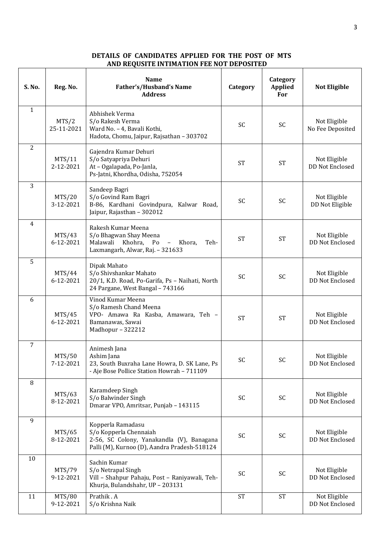## **DETAILS OF CANDIDATES APPLIED FOR THE POST OF MTS AND REQUSITE INTIMATION FEE NOT DEPOSITED**

| S. No.       | Reg. No.            | <b>Name</b><br>Father's/Husband's Name<br><b>Address</b>                                                                                 | Category  | Category<br>Applied<br>For | <b>Not Eligible</b>              |
|--------------|---------------------|------------------------------------------------------------------------------------------------------------------------------------------|-----------|----------------------------|----------------------------------|
| $\mathbf{1}$ | MTS/2<br>25-11-2021 | Abhishek Verma<br>S/o Rakesh Verma<br>Ward No. - 4, Bavali Kothi,<br>Hadota, Chomu, Jaipur, Rajsathan - 303702                           | SC        | SC                         | Not Eligible<br>No Fee Deposited |
| 2            | MTS/11<br>2-12-2021 | Gajendra Kumar Dehuri<br>S/o Satyapriya Dehuri<br>At - Ogalapada, Po-Janla,<br>Ps-Jatni, Khordha, Odisha, 752054                         | <b>ST</b> | <b>ST</b>                  | Not Eligible<br>DD Not Enclosed  |
| 3            | MTS/20<br>3-12-2021 | Sandeep Bagri<br>S/o Govind Ram Bagri<br>B-86, Kardhani Govindpura, Kalwar Road,<br>Jaipur, Rajasthan - 302012                           | SC        | <b>SC</b>                  | Not Eligible<br>DD Not Eligible  |
| 4            | MTS/43<br>6-12-2021 | Rakesh Kumar Meena<br>S/o Bhagwan Shay Meena<br>Malawali Khohra, Po - Khora,<br>Teh-<br>Laxmangarh, Alwar, Raj. - 321633                 | <b>ST</b> | <b>ST</b>                  | Not Eligible<br>DD Not Enclosed  |
| 5            | MTS/44<br>6-12-2021 | Dipak Mahato<br>S/o Shivshankar Mahato<br>20/1, K.D. Road, Po-Garifa, Ps - Naihati, North<br>24 Pargane, West Bangal - 743166            | <b>SC</b> | <b>SC</b>                  | Not Eligible<br>DD Not Enclosed  |
| 6            | MTS/45<br>6-12-2021 | Vinod Kumar Meena<br>S/o Ramesh Chand Meena<br>VPO- Amawa Ra Kasba, Amawara, Teh -<br>Bamanawas, Sawai<br>Madhopur - 322212              | <b>ST</b> | <b>ST</b>                  | Not Eligible<br>DD Not Enclosed  |
| 7            | MTS/50<br>7-12-2021 | Animesh Jana<br>Ashim Jana<br>23, South Buxraha Lane Howra, D. SK Lane, Ps<br>- Aje Bose Pollice Station Howrah - 711109                 | SC        | SC                         | Not Eligible<br>DD Not Enclosed  |
| 8            | MTS/63<br>8-12-2021 | Karamdeep Singh<br>S/o Balwinder Singh<br>Dmarar VPO, Amritsar, Punjab - 143115                                                          | SC        | SC                         | Not Eligible<br>DD Not Enclosed  |
| 9            | MTS/65<br>8-12-2021 | Kopperla Ramadasu<br>S/o Kopperla Chennaiah<br>2-56, SC Colony, Yanakandla (V), Banagana<br>Palli (M), Kurnoo (D), Aandra Pradesh-518124 | SC        | SC                         | Not Eligible<br>DD Not Enclosed  |
| 10           | MTS/79<br>9-12-2021 | Sachin Kumar<br>S/o Netrapal Singh<br>Vill - Shahpur Pahaju, Post - Raniyawali, Teh-<br>Khurja, Bulandshahr, UP - 203131                 | SC        | SC                         | Not Eligible<br>DD Not Enclosed  |
| 11           | MTS/80<br>9-12-2021 | Prathik.A<br>S/o Krishna Naik                                                                                                            | <b>ST</b> | <b>ST</b>                  | Not Eligible<br>DD Not Enclosed  |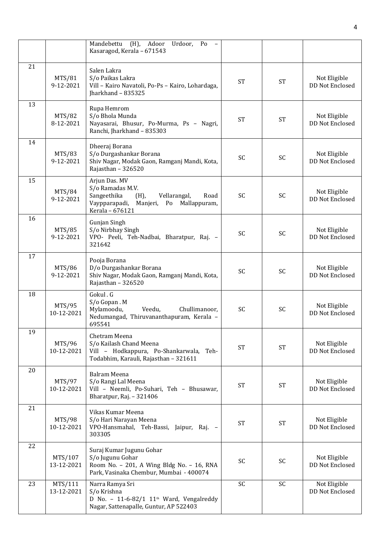|    |                       | (H), Adoor<br>Mandebettu<br>Urdoor, Po<br>$\sim$ $-$<br>Kasaragod, Kerala - 671543                                                                  |           |           |                                        |
|----|-----------------------|-----------------------------------------------------------------------------------------------------------------------------------------------------|-----------|-----------|----------------------------------------|
| 21 | MTS/81<br>9-12-2021   | Salen Lakra<br>S/o Paikas Lakra<br>Vill - Kairo Navatoli, Po-Ps - Kairo, Lohardaga,<br>Jharkhand - 835325                                           | <b>ST</b> | <b>ST</b> | Not Eligible<br><b>DD Not Enclosed</b> |
| 13 | MTS/82<br>8-12-2021   | Rupa Hemrom<br>S/o Bhola Munda<br>Nayasarai, Bhusur, Po-Murma, Ps - Nagri,<br>Ranchi, Jharkhand - 835303                                            | <b>ST</b> | <b>ST</b> | Not Eligible<br>DD Not Enclosed        |
| 14 | MTS/83<br>9-12-2021   | Dheeraj Borana<br>S/o Durgashankar Borana<br>Shiv Nagar, Modak Gaon, Ramganj Mandi, Kota,<br>Rajasthan - 326520                                     | SC        | <b>SC</b> | Not Eligible<br>DD Not Enclosed        |
| 15 | MTS/84<br>9-12-2021   | Arjun Das. MV<br>S/o Ramadas M.V.<br>Sangeethika<br>$(H)$ ,<br>Vellarangal,<br>Road<br>Vaypparapadi,<br>Manjeri, Po Mallappuram,<br>Kerala - 676121 | <b>SC</b> | <b>SC</b> | Not Eligible<br>DD Not Enclosed        |
| 16 | MTS/85<br>9-12-2021   | Gunjan Singh<br>S/o Nirbhay Singh<br>VPO- Peeli, Teh-Nadbai, Bharatpur, Raj. -<br>321642                                                            | <b>SC</b> | <b>SC</b> | Not Eligible<br>DD Not Enclosed        |
| 17 | MTS/86<br>9-12-2021   | Pooja Borana<br>D/o Durgashankar Borana<br>Shiv Nagar, Modak Gaon, Ramganj Mandi, Kota,<br>Rajasthan - 326520                                       | SC        | SC        | Not Eligible<br>DD Not Enclosed        |
| 18 | MTS/95<br>10-12-2021  | Gokul.G<br>S/o Gopan.M<br>Mylamoodu,<br>Veedu,<br>Chullimanoor,<br>Nedumangad, Thiruvananthapuram, Kerala -<br>695541                               | SC        | SC        | Not Eligible<br>DD Not Enclosed        |
| 19 | MTS/96<br>10-12-2021  | Chetram Meena<br>S/o Kailash Chand Meena<br>Vill - Hodkappura, Po-Shankarwala, Teh-<br>Todabhim, Karauli, Rajasthan - 321611                        | <b>ST</b> | <b>ST</b> | Not Eligible<br>DD Not Enclosed        |
| 20 | MTS/97<br>10-12-2021  | <b>Balram Meena</b><br>S/o Rangi Lal Meena<br>Vill - Neemli, Po-Suhari, Teh - Bhusawar,<br>Bharatpur, Raj. - 321406                                 | <b>ST</b> | <b>ST</b> | Not Eligible<br>DD Not Enclosed        |
| 21 | MTS/98<br>10-12-2021  | Vikas Kumar Meena<br>S/o Hari Narayan Meena<br>VPO-Hansmahal, Teh-Bassi, Jaipur, Raj. -<br>303305                                                   | <b>ST</b> | <b>ST</b> | Not Eligible<br>DD Not Enclosed        |
| 22 | MTS/107<br>13-12-2021 | Suraj Kumar Jugunu Gohar<br>S/o Jugunu Gohar<br>Room No. - 201, A Wing Bldg No. - 16, RNA<br>Park, Vasinaka Chembur, Mumbai - 400074                | SC        | SC        | Not Eligible<br>DD Not Enclosed        |
| 23 | MTS/111<br>13-12-2021 | Narra Ramya Sri<br>S/o Krishna<br>D No. - 11-6-82/1 11 <sup>th</sup> Ward, Vengalreddy<br>Nagar, Sattenapalle, Guntur, AP 522403                    | SC        | <b>SC</b> | Not Eligible<br>DD Not Enclosed        |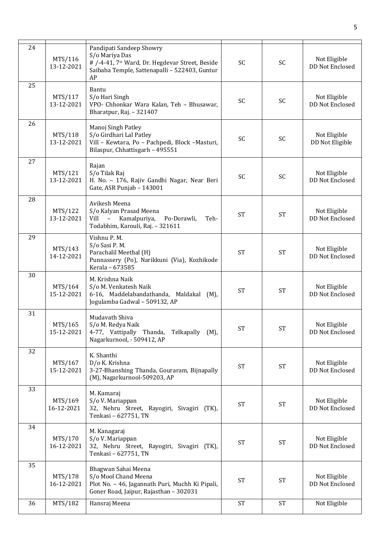| 24<br>MTS/116<br>13-12-2021 | Pandipati Sandeep Showry<br>S/o Mariya Das<br># /-4-41, 7 <sup>th</sup> Ward, Dr. Hegdevar Street, Beside<br>Saibaba Temple, Sattenapalli - 522403, Guntur<br>AP | SC        | SC        | Not Eligible<br>DD Not Enclosed |
|-----------------------------|------------------------------------------------------------------------------------------------------------------------------------------------------------------|-----------|-----------|---------------------------------|
| 25<br>MTS/117<br>13-12-2021 | Bantu<br>S/o Hari Singh<br>VPO- Chhonkar Wara Kalan, Teh - Bhusawar,<br>Bharatpur, Raj. - 321407                                                                 | <b>SC</b> | <b>SC</b> | Not Eligible<br>DD Not Enclosed |
| 26<br>MTS/118<br>13-12-2021 | Manoj Singh Patley<br>S/o Girdhari Lal Patley<br>Vill - Kewtara, Po - Pachpedi, Block -Masturi,<br>Bilaspur, Chhattisgarh - 495551                               | <b>SC</b> | <b>SC</b> | Not Eligible<br>DD Not Eligible |
| 27<br>MTS/121<br>13-12-2021 | Rajan<br>S/o Tilak Raj<br>H. No. - 176, Rajiv Gandhi Nagar, Near Beri<br>Gate, ASR Punjab - 143001                                                               | <b>SC</b> | SC        | Not Eligible<br>DD Not Enclosed |
| 28<br>MTS/122<br>13-12-2021 | Avikesh Meena<br>S/o Kalyan Prasad Meena<br>Vill - Kamalpuriya,<br>Po-Dorawli,<br>Teh-<br>Todabhim, Karouli, Raj. - 321611                                       | <b>ST</b> | <b>ST</b> | Not Eligible<br>DD Not Enclosed |
| 29<br>MTS/143<br>14-12-2021 | Vishnu P. M.<br>S/o Sasi P.M.<br>Parachalil Meethal (H)<br>Punnassery (Po), Narikkuni (Via), Kozhikode<br>Kerala - 673585                                        | <b>ST</b> | <b>ST</b> | Not Eligible<br>DD Not Enclosed |
| 30<br>MTS/164<br>15-12-2021 | M. Krishna Naik<br>S/o M. Venkatesh Naik<br>6-16, Maddelabandathanda, Maldakal (M),<br>Jogulamba Gadwal - 509132, AP                                             | <b>ST</b> | <b>ST</b> | Not Eligible<br>DD Not Enclosed |
| 31<br>MTS/165<br>15-12-2021 | Mudavath Shiva<br>S/o M. Redya Naik<br>4-77, Vattipally Thanda, Telkapally<br>(M),<br>Nagarkurnool, - 509412, AP                                                 | <b>ST</b> | <b>ST</b> | Not Eligible<br>DD Not Enclosed |
| 32<br>MTS/167<br>15-12-2021 | K. Shanthi<br>D/o K. Krishna<br>3-27-Bhanshing Thanda, Gouraram, Bijnapally<br>(M), Nagarkurnool-509203, AP                                                      | <b>ST</b> | <b>ST</b> | Not Eligible<br>DD Not Enclosed |
| 33<br>MTS/169<br>16-12-2021 | M. Kamaraj<br>S/o V. Mariappan<br>32, Nehru Street, Rayogiri, Sivagiri (TK),<br>Tenkasi - 627751, TN                                                             | <b>ST</b> | <b>ST</b> | Not Eligible<br>DD Not Enclosed |
| 34<br>MTS/170<br>16-12-2021 | M. Kanagaraj<br>S/o V. Mariappan<br>32, Nehru Street, Rayogiri, Sivagiri (TK),<br>Tenkasi - 627751, TN                                                           | <b>ST</b> | <b>ST</b> | Not Eligible<br>DD Not Enclosed |
| 35<br>MTS/178<br>16-12-2021 | Bhagwan Sahai Meena<br>S/o Mool Chand Meena<br>Plot No. - 46, Jagannath Puri, Muchh Ki Pipali,<br>Goner Road, Jaipur, Rajasthan - 302031                         | <b>ST</b> | <b>ST</b> | Not Eligible<br>DD Not Enclosed |
| MTS/182<br>36               | Hansraj Meena                                                                                                                                                    | <b>ST</b> | <b>ST</b> | Not Eligible                    |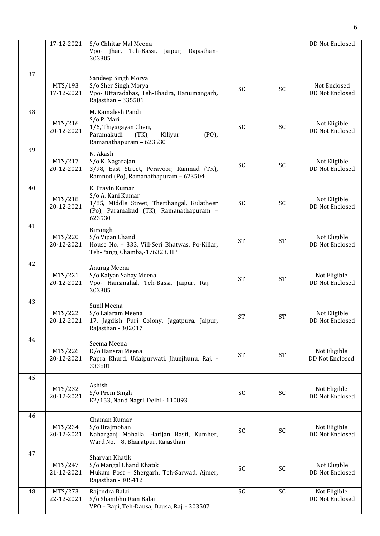|    | 17-12-2021            | S/o Chhitar Mal Meena<br>Vpo- Jhar, Teh-Bassi, Jaipur,<br>Rajasthan-<br>303305                                                          |           |           | DD Not Enclosed                        |
|----|-----------------------|-----------------------------------------------------------------------------------------------------------------------------------------|-----------|-----------|----------------------------------------|
| 37 | MTS/193<br>17-12-2021 | Sandeep Singh Morya<br>S/o Sher Singh Morya<br>Vpo- Uttaradabas, Teh-Bhadra, Hanumangarh,<br>Rajasthan - 335501                         | SC        | <b>SC</b> | Not Enclosed<br>DD Not Enclosed        |
| 38 | MTS/216<br>20-12-2021 | M. Kamalesh Pandi<br>S/o P. Mari<br>1/6, Thiyagayan Cheri,<br>Paramakudi<br>Kiliyur<br>$(PO)$ ,<br>$(TK)$ ,<br>Ramanathapuram - 623530  | SC        | SC        | Not Eligible<br>DD Not Enclosed        |
| 39 | MTS/217<br>20-12-2021 | N. Akash<br>S/o K. Nagarajan<br>3/98, East Street, Peravoor, Ramnad (TK),<br>Ramnod (Po), Ramanathapuram - 623504                       | SC        | SC        | Not Eligible<br><b>DD Not Enclosed</b> |
| 40 | MTS/218<br>20-12-2021 | K. Pravin Kumar<br>S/o A. Kani Kumar<br>1/85, Middle Street, Therthangal, Kulatheer<br>(Po), Paramakud (TK), Ramanathapuram -<br>623530 | <b>SC</b> | <b>SC</b> | Not Eligible<br>DD Not Enclosed        |
| 41 | MTS/220<br>20-12-2021 | Birsingh<br>S/o Vipan Chand<br>House No. - 333, Vill-Seri Bhatwas, Po-Killar,<br>Teh-Pangi, Chamba,-176323, HP                          | <b>ST</b> | <b>ST</b> | Not Eligible<br>DD Not Enclosed        |
| 42 | MTS/221<br>20-12-2021 | Anurag Meena<br>S/o Kalyan Sahay Meena<br>Vpo- Hansmahal, Teh-Bassi, Jaipur, Raj. -<br>303305                                           | <b>ST</b> | <b>ST</b> | Not Eligible<br>DD Not Enclosed        |
| 43 | MTS/222<br>20-12-2021 | Sunil Meena<br>S/o Lalaram Meena<br>17, Jagdish Puri Colony, Jagatpura, Jaipur,<br>Rajasthan - 302017                                   | <b>ST</b> | <b>ST</b> | Not Eligible<br>DD Not Enclosed        |
| 44 | MTS/226<br>20-12-2021 | Seema Meena<br>D/o Hansraj Meena<br>Papra Khurd, Udaipurwati, Jhunjhunu, Raj. -<br>333801                                               | <b>ST</b> | <b>ST</b> | Not Eligible<br>DD Not Enclosed        |
| 45 | MTS/232<br>20-12-2021 | Ashish<br>S/o Prem Singh<br>E2/153, Nand Nagri, Delhi - 110093                                                                          | SC        | SC        | Not Eligible<br>DD Not Enclosed        |
| 46 | MTS/234<br>20-12-2021 | Chaman Kumar<br>S/o Brajmohan<br>Naharganj Mohalla, Harijan Basti, Kumher,<br>Ward No. - 8, Bharatpur, Rajasthan                        | <b>SC</b> | SC        | Not Eligible<br>DD Not Enclosed        |
| 47 | MTS/247<br>21-12-2021 | Sharvan Khatik<br>S/o Mangal Chand Khatik<br>Mukam Post - Shergarh, Teh-Sarwad, Ajmer,<br>Rajasthan - 305412                            | <b>SC</b> | SC        | Not Eligible<br>DD Not Enclosed        |
| 48 | MTS/273<br>22-12-2021 | Rajendra Balai<br>S/o Shambhu Ram Balai<br>VPO - Bapi, Teh-Dausa, Dausa, Raj. - 303507                                                  | SC        | SC        | Not Eligible<br>DD Not Enclosed        |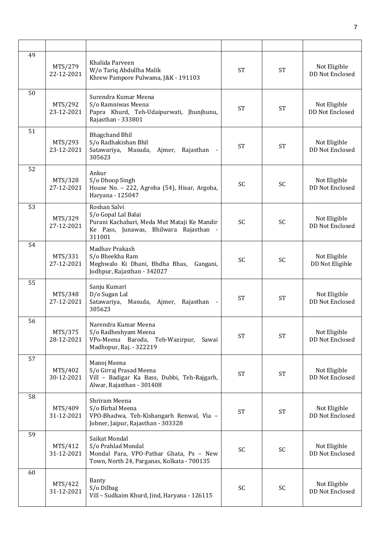| 49 | MTS/279<br>22-12-2021 | Khalida Parveen<br>W/o Tariq Abdullha Malik<br>Khrew Pampore Pulwama, J&K - 191103                                                     | <b>ST</b> | <b>ST</b> | Not Eligible<br>DD Not Enclosed        |
|----|-----------------------|----------------------------------------------------------------------------------------------------------------------------------------|-----------|-----------|----------------------------------------|
| 50 | MTS/292<br>23-12-2021 | Surendra Kumar Meena<br>S/o Ramniwas Meena<br>Papra Khurd, Teh-Udaipurwati, Jhunjhunu,<br>Rajasthan - 333801                           | <b>ST</b> | <b>ST</b> | Not Eligible<br>DD Not Enclosed        |
| 51 | MTS/293<br>23-12-2021 | <b>Bhagchand Bhil</b><br>S/o Radhakishan Bhil<br>Satawariya, Masuda,<br>Ajmer,<br>Rajasthan<br>305623                                  | <b>ST</b> | <b>ST</b> | Not Eligible<br>DD Not Enclosed        |
| 52 | MTS/328<br>27-12-2021 | Ankur<br>S/o Dhoop Singh<br>House No. - 222, Agroha (54), Hisar, Argoha,<br>Haryana - 125047                                           | <b>SC</b> | <b>SC</b> | Not Eligible<br><b>DD Not Enclosed</b> |
| 53 | MTS/329<br>27-12-2021 | Roshan Salvi<br>S/o Gopal Lal Balai<br>Purani Kachahari, Meda Mut Mataji Ke Mandir<br>Ke Pass, Junawas, Bhilwara Rajasthan -<br>311001 | <b>SC</b> | SC        | Not Eligible<br>DD Not Enclosed        |
| 54 | MTS/331<br>27-12-2021 | Madhav Prakash<br>S/o Bheekha Ram<br>Meghwalo Ki Dhani, Bhdha Bhas,<br>Gangani,<br>Jodhpur, Rajasthan - 342027                         | <b>SC</b> | <b>SC</b> | Not Eligible<br>DD Not Eligible        |
| 55 | MTS/348<br>27-12-2021 | Sanju Kumari<br>D/o Sugan Lal<br>Satawariya,<br>Masuda, Ajmer,<br>Rajasthan -<br>305623                                                | <b>ST</b> | <b>ST</b> | Not Eligible<br>DD Not Enclosed        |
| 56 | MTS/375<br>28-12-2021 | Narendra Kumar Meena<br>S/o Radheshyam Meena<br>VPo-Meena Baroda, Teh-Wazirpur, Sawai<br>Madhopur, Raj. - 322219                       | <b>ST</b> | <b>ST</b> | Not Eligible<br>DD Not Enclosed        |
| 57 | MTS/402<br>30-12-2021 | Manoj Meena<br>S/o Girraj Prasad Meena<br>Vill - Badigar Ka Bass, Dubbi, Teh-Rajgarh,<br>Alwar, Rajasthan - 301408                     | <b>ST</b> | <b>ST</b> | Not Eligible<br>DD Not Enclosed        |
| 58 | MTS/409<br>31-12-2021 | Shriram Meena<br>S/o Birbal Meena<br>VPO-Bhadwa, Teh-Kishangarh Renwal, Via -<br>Jobner, Jaipur, Rajasthan - 303328                    | <b>ST</b> | <b>ST</b> | Not Eligible<br>DD Not Enclosed        |
| 59 | MTS/412<br>31-12-2021 | Saikat Mondal<br>S/o Prahlad Mondal<br>Mondal Para, VPO-Pathar Ghata, Ps - New<br>Town, North 24, Parganas, Kolkata - 700135           | SC        | SC        | Not Eligible<br>DD Not Enclosed        |
| 60 | MTS/422<br>31-12-2021 | Banty<br>S/o Dilbag<br>Vill - Sudkaim Khurd, Jind, Haryana - 126115                                                                    | <b>SC</b> | SC        | Not Eligible<br>DD Not Enclosed        |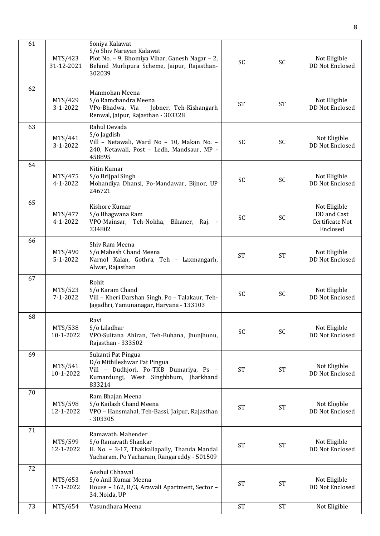| 61 | MTS/423<br>31-12-2021     | Soniya Kalawat<br>S/o Shiv Narayan Kalawat<br>Plot No. - 9, Bhomiya Vihar, Ganesh Nagar - 2,<br>Behind Murlipura Scheme, Jaipur, Rajasthan-<br>302039 | <b>SC</b> | SC                  | Not Eligible<br>DD Not Enclosed                            |
|----|---------------------------|-------------------------------------------------------------------------------------------------------------------------------------------------------|-----------|---------------------|------------------------------------------------------------|
| 62 | MTS/429<br>$3-1-2022$     | Manmohan Meena<br>S/o Ramchandra Meena<br>VPo-Bhadwa, Via - Jobner, Teh-Kishangarh<br>Renwal, Jaipur, Rajasthan - 303328                              | <b>ST</b> | <b>ST</b>           | Not Eligible<br><b>DD Not Enclosed</b>                     |
| 63 | MTS/441<br>3-1-2022       | Rahul Devada<br>S/o Jagdish<br>Vill - Netawali, Ward No - 10, Makan No. -<br>240, Netawali, Post - Ledh, Mandsaur, MP -<br>458895                     | <b>SC</b> | <b>SC</b>           | Not Eligible<br>DD Not Enclosed                            |
| 64 | MTS/475<br>4-1-2022       | Nitin Kumar<br>S/o Brijpal Singh<br>Mohandiya Dhansi, Po-Mandawar, Bijnor, UP<br>246721                                                               | <b>SC</b> | SC                  | Not Eligible<br><b>DD Not Enclosed</b>                     |
| 65 | MTS/477<br>4-1-2022       | Kishore Kumar<br>S/o Bhagwana Ram<br>VPO-Mainsar, Teh-Nokha, Bikaner, Raj. -<br>334802                                                                | <b>SC</b> | SC                  | Not Eligible<br>DD and Cast<br>Certificate Not<br>Enclosed |
| 66 | MTS/490<br>$5 - 1 - 2022$ | Shiv Ram Meena<br>S/o Mahesh Chand Meena<br>Narnol Kalan, Gothra, Teh - Laxmangarh,<br>Alwar, Rajasthan                                               | <b>ST</b> | <b>ST</b>           | Not Eligible<br>DD Not Enclosed                            |
| 67 | MTS/523<br>7-1-2022       | Rohit<br>S/o Karam Chand<br>Vill - Kheri Darshan Singh, Po - Talakaur, Teh-<br>Jagadhri, Yamunanagar, Haryana - 133103                                | SC        | SC                  | Not Eligible<br>DD Not Enclosed                            |
| 68 | MTS/538<br>10-1-2022      | Ravi<br>S/o Liladhar<br>VPO-Sultana Ahiran, Teh-Buhana, Jhunjhunu,<br>Rajasthan - 333502                                                              | SC        | SC                  | Not Eligible<br>DD Not Enclosed                            |
| 69 | MTS/541<br>10-1-2022      | Sukanti Pat Pingua<br>D/o Mithileshwar Pat Pingua<br>Vill - Dudhjori, Po-TKB Dumariya, Ps -<br>Kumardungi, West Singhbhum, Jharkhand<br>833214        | <b>ST</b> | <b>ST</b>           | Not Eligible<br>DD Not Enclosed                            |
| 70 | MTS/598<br>12-1-2022      | Ram Bhajan Meena<br>S/o Kailash Chand Meena<br>VPO - Hansmahal, Teh-Bassi, Jaipur, Rajasthan<br>$-303305$                                             | <b>ST</b> | <b>ST</b>           | Not Eligible<br>DD Not Enclosed                            |
| 71 | MTS/599<br>12-1-2022      | Ramavath. Mahender<br>S/o Ramavath Shankar<br>H. No. - 3-17, Thakkallapally, Thanda Mandal<br>Yacharam, Po Yacharam, Rangareddy - 501509              | <b>ST</b> | <b>ST</b>           | Not Eligible<br>DD Not Enclosed                            |
| 72 | MTS/653<br>17-1-2022      | Anshul Chhawal<br>S/o Anil Kumar Meena<br>House - 162, B/3, Arawali Apartment, Sector -<br>34, Noida, UP                                              | <b>ST</b> | $\operatorname{ST}$ | Not Eligible<br>DD Not Enclosed                            |
| 73 | MTS/654                   | Vasundhara Meena                                                                                                                                      | <b>ST</b> | <b>ST</b>           | Not Eligible                                               |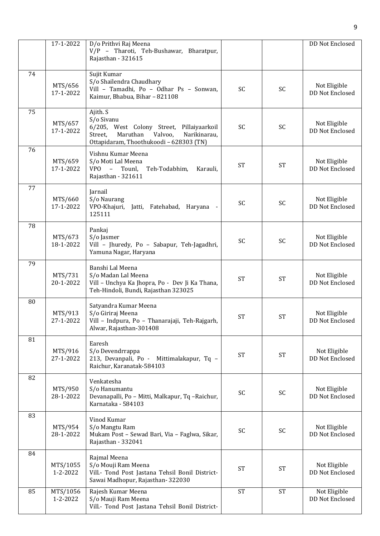|    | 17-1-2022            | D/o Prithvi Raj Meena<br>V/P - Tharoti, Teh-Bushawar, Bharatpur,<br>Rajasthan - 321615                                                                           |           |           | DD Not Enclosed                 |
|----|----------------------|------------------------------------------------------------------------------------------------------------------------------------------------------------------|-----------|-----------|---------------------------------|
| 74 | MTS/656<br>17-1-2022 | Sujit Kumar<br>S/o Shailendra Chaudhary<br>Vill - Tamadhi, Po - Odhar Ps - Sonwan,<br>Kaimur, Bhabua, Bihar - 821108                                             | SC        | SC        | Not Eligible<br>DD Not Enclosed |
| 75 | MTS/657<br>17-1-2022 | Ajith. S<br>S/o Sivanu<br>6/205, West Colony Street, Pillaiyaarkoil<br>Maruthan<br>Valvoo,<br>Narikinarau,<br>Street,<br>Ottapidaram, Thoothukoodi - 628303 (TN) | <b>SC</b> | <b>SC</b> | Not Eligible<br>DD Not Enclosed |
| 76 | MTS/659<br>17-1-2022 | Vishnu Kumar Meena<br>S/o Moti Lal Meena<br>VPO - Tounl,<br>Teh-Todabhim,<br>Karauli,<br>Rajasthan - 321611                                                      | <b>ST</b> | <b>ST</b> | Not Eligible<br>DD Not Enclosed |
| 77 | MTS/660<br>17-1-2022 | Jarnail<br>S/o Naurang<br>VPO-Khajuri, Jatti, Fatehabad, Haryana -<br>125111                                                                                     | SC        | <b>SC</b> | Not Eligible<br>DD Not Enclosed |
| 78 | MTS/673<br>18-1-2022 | Pankaj<br>S/o Jasmer<br>Vill - Jhuredy, Po - Sabapur, Teh-Jagadhri,<br>Yamuna Nagar, Haryana                                                                     | SC        | <b>SC</b> | Not Eligible<br>DD Not Enclosed |
| 79 | MTS/731<br>20-1-2022 | Banshi Lal Meena<br>S/o Madan Lal Meena<br>Vill - Unchya Ka Jhopra, Po - Dev Ji Ka Thana,<br>Teh-Hindoli, Bundi, Rajasthan 323025                                | <b>ST</b> | <b>ST</b> | Not Eligible<br>DD Not Enclosed |
| 80 | MTS/913<br>27-1-2022 | Satyandra Kumar Meena<br>S/o Giriraj Meena<br>Vill - Indpura, Po - Thanarajaji, Teh-Rajgarh,<br>Alwar, Rajasthan-301408                                          | <b>ST</b> | <b>ST</b> | Not Eligible<br>DD Not Enclosed |
| 81 | MTS/916<br>27-1-2022 | Earesh<br>S/o Devendrrappa<br>213, Devanpali, Po - Mittimalakapur, Tq -<br>Raichur, Karanatak-584103                                                             | <b>ST</b> | <b>ST</b> | Not Eligible<br>DD Not Enclosed |
| 82 | MTS/950<br>28-1-2022 | Venkatesha<br>S/o Hanumantu<br>Devanapalli, Po - Mitti, Malkapur, Tq -Raichur,<br>Karnataka - 584103                                                             | SC        | SC        | Not Eligible<br>DD Not Enclosed |
| 83 | MTS/954<br>28-1-2022 | Vinod Kumar<br>S/o Mangtu Ram<br>Mukam Post - Sewad Bari, Via - Faglwa, Sikar,<br>Rajasthan - 332041                                                             | <b>SC</b> | SC        | Not Eligible<br>DD Not Enclosed |
| 84 | MTS/1055<br>1-2-2022 | Rajmal Meena<br>S/o Mouji Ram Meena<br>Vill.- Tond Post Jastana Tehsil Bonil District-<br>Sawai Madhopur, Rajasthan-322030                                       | <b>ST</b> | <b>ST</b> | Not Eligible<br>DD Not Enclosed |
| 85 | MTS/1056<br>1-2-2022 | Rajesh Kumar Meena<br>S/o Mauji Ram Meena<br>Vill.- Tond Post Jastana Tehsil Bonil District-                                                                     | <b>ST</b> | <b>ST</b> | Not Eligible<br>DD Not Enclosed |